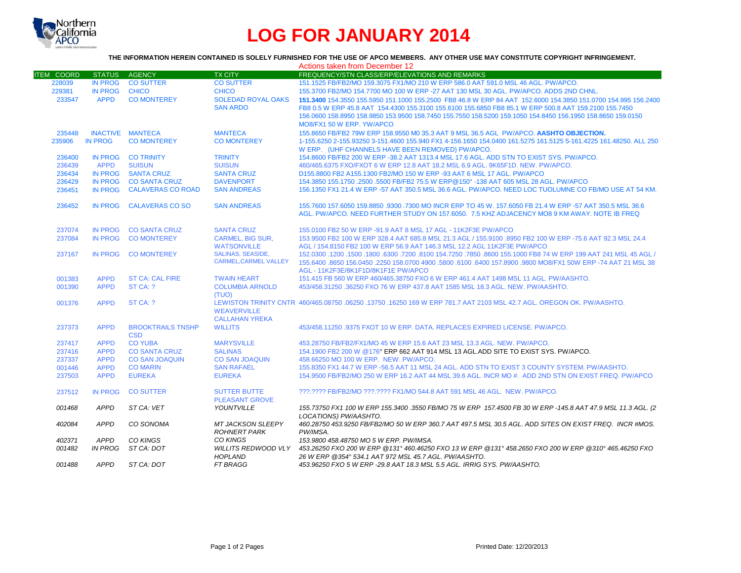

# **LOG FOR JANUARY 2014**

## **THE INFORMATION HEREIN CONTAINED IS SOLELY FURNISHED FOR THE USE OF APCO MEMBERS. ANY OTHER USE MAY CONSTITUTE COPYRIGHT INFRINGEMENT.**

|                   |                |                                        |                                                         | Actions taken from December 12                                                                                                                                                                                                                                         |
|-------------------|----------------|----------------------------------------|---------------------------------------------------------|------------------------------------------------------------------------------------------------------------------------------------------------------------------------------------------------------------------------------------------------------------------------|
| <b>ITEM COORD</b> |                | STATUS AGENCY                          | <b>TX CITY</b>                                          | FREQUENCY/STN CLASS/ERP/ELEVATIONS AND REMARKS                                                                                                                                                                                                                         |
| 228039            | <b>IN PROG</b> | <b>CO SUTTER</b>                       | <b>CO SUTTER</b>                                        | 151.1525 FB/FB2/MO 159.3075 FX1/MO 210 W ERP 586.0 AAT 591.0 MSL 46 AGL. PW/APCO.                                                                                                                                                                                      |
| 229381            | <b>IN PROG</b> | <b>CHICO</b>                           | <b>CHICO</b>                                            | 155.3700 FB2/MO 154.7700 MO 100 W ERP -27 AAT 130 MSL 30 AGL. PW/APCO, ADDS 2ND CHNL.                                                                                                                                                                                  |
| 233547            | <b>APPD</b>    | <b>CO MONTEREY</b>                     | <b>SOLEDAD ROYAL OAKS</b><br><b>SAN ARDO</b>            | 151,3400 154,3550 155,5950 151,1000 155,2500 FB8 46.8 W ERP 84 AAT 152,6000 154,3850 151,0700 154,995 156,2400<br>FB8 0.5 W ERP 45.8 AAT 154.4300 155.3100 155.6100 155.6850 FB8 85.1 W ERP 500.8 AAT 159.2100 155.7450                                                |
|                   |                |                                        |                                                         | 156.0600 158.8950 158.9850 153.9500 158.7450 155.7550 158.5200 159.1050 154.8450 156.1950 158.8650 159.0150<br>MO8/FX1 50 W ERP. YW/APCO                                                                                                                               |
| 235448            |                | <b>INACTIVE MANTECA</b>                | <b>MANTECA</b>                                          | 155.8650 FB/FB2 79W ERP 158.9550 M0 35.3 AAT 9 MSL 36.5 AGL PW/APCO. AASHTO OBJECTION.                                                                                                                                                                                 |
| 235906            | <b>IN PROG</b> | <b>CO MONTEREY</b>                     | <b>CO MONTEREY</b>                                      | 1-155.6250 2-155.93250 3-151.4600 155.940 FX1 4-156.1650 154.0400 161.5275 161.5125 5-161.4225 161.48250. ALL 250<br>W ERP. (UHF CHANNELS HAVE BEEN REMOVED) PW/APCO.                                                                                                  |
| 236400            | <b>IN PROG</b> | <b>CO TRINITY</b>                      | <b>TRINITY</b>                                          | 154.8600 FB/FB2 200 W ERP -38.2 AAT 1313.4 MSL 17.6 AGL. ADD STN TO EXIST SYS. PW/APCO.                                                                                                                                                                                |
| 236439            | <b>APPD</b>    | <b>SUISUN</b>                          | <b>SUISUN</b>                                           | 460/465.6375 FXO/FXOT 6 W ERP 12.8 AAT 18.2 MSL 6.9 AGL, 9K65F1D, NEW, PW/APCO,                                                                                                                                                                                        |
| 236434            |                | IN PROG SANTA CRUZ                     | <b>SANTA CRUZ</b>                                       | D155.8800 FB2 A155.1300 FB2/MO 150 W ERP -93 AAT 6 MSL 17 AGL. PW/APCO                                                                                                                                                                                                 |
| 236429            | <b>IN PROG</b> | <b>CO SANTA CRUZ</b>                   | <b>DAVENPORT</b>                                        | 154.3850 155.1750 .2500 .5500 FB/FB2 75.5 W ERP@150° -138 AAT 605 MSL 28 AGL, PW/APCO                                                                                                                                                                                  |
| 236451            | IN PROG        | <b>CALAVERAS CO ROAD</b>               | <b>SAN ANDREAS</b>                                      | 156.1350 FX1 21.4 W ERP -57 AAT 350.5 MSL 36.6 AGL. PW/APCO, NEED LOC TUOLUMNE CO FB/MO USE AT 54 KM.                                                                                                                                                                  |
| 236452            | IN PROG        | <b>CALAVERAS CO SO</b>                 | <b>SAN ANDREAS</b>                                      | 155,7600 157,6050 159,8850 .9300 .7300 MO INCR ERP TO 45 W, 157,6050 FB 21.4 W ERP -57 AAT 350.5 MSL 36.6<br>AGL, PW/APCO, NEED FURTHER STUDY ON 157,6050. 7.5 KHZ ADJACENCY MO8 9 KM AWAY, NOTE IB FREQ                                                               |
| 237074            | <b>IN PROG</b> | <b>CO SANTA CRUZ</b>                   | <b>SANTA CRUZ</b>                                       | 155,0100 FB2 50 W ERP -91.9 AAT 8 MSL 17 AGL - 11K2F3E PW/APCO                                                                                                                                                                                                         |
| 237084            | <b>IN PROG</b> | <b>CO MONTEREY</b>                     | <b>CARMEL, BIG SUR,</b><br><b>WATSONVILLE</b>           | 153.9500 FB2 100 W ERP 328.4 AAT 685.8 MSL 21.3 AGL / 155.9100 .8950 FB2 100 W ERP -75.6 AAT 92.3 MSL 24.4<br>AGL / 154.8150 FB2 100 W ERP 56.9 AAT 146.3 MSL 12.2 AGL 11K2F3E PW/APCO                                                                                 |
| 237167            |                | IN PROG CO MONTEREY                    | <b>SALINAS, SEASIDE.</b><br><b>CARMEL.CARMEL VALLEY</b> | 152,0300 1200 1500 1600 16300 17200 18100 154.7250 .7850 .8600 155.1000 FB8 74 W ERP 199 AAT 241 MSL 45 AGL /<br>155.6400 .8650 156.0450 .2250 158.0700 4900 .5800 .6100 .6400 157.8900 .9800 MO8/FX1 50W ERP -74 AAT 21 MSL 38<br>AGL - 11K2F3E/8K1F1D/8K1F1E PW/APCO |
| 001383            | <b>APPD</b>    | <b>ST CA: CAL FIRE</b>                 | <b>TWAIN HEART</b>                                      | 151.415 FB 560 W ERP 460/465.38750 FXO 6 W ERP 461.4 AAT 1498 MSL 11 AGL, PW/AASHTO.                                                                                                                                                                                   |
| 001390            | <b>APPD</b>    | ST CA: ?                               | <b>COLUMBIA ARNOLD</b><br>(TUO)                         | 453/458.31250 .36250 FXO 76 W ERP 437.8 AAT 1585 MSL 18.3 AGL. NEW. PW/AASHTO.                                                                                                                                                                                         |
| 001376            | <b>APPD</b>    | ST CA: ?                               | <b>WEAVERVILLE</b><br><b>CALLAHAN YREKA</b>             | LEWISTON TRINITY CNTR 460/465.08750 .06250 .13750 .16250 169 W ERP 781.7 AAT 2103 MSL 42.7 AGL. OREGON OK. PW/AASHTO.                                                                                                                                                  |
| 237373            | <b>APPD</b>    | <b>BROOKTRAILS TNSHP</b><br><b>CSD</b> | <b>WILLITS</b>                                          | 453/458.11250.9375 FXOT 10 W ERP. DATA. REPLACES EXPIRED LICENSE, PW/APCO.                                                                                                                                                                                             |
| 237417            | <b>APPD</b>    | <b>CO YUBA</b>                         | <b>MARYSVILLE</b>                                       | 453.28750 FB/FB2/FX1/MO 45 W ERP 15.6 AAT 23 MSL 13.3 AGL, NEW, PW/APCO,                                                                                                                                                                                               |
| 237416            | <b>APPD</b>    | <b>CO SANTA CRUZ</b>                   | <b>SALINAS</b>                                          | 154.1900 FB2 200 W @176° ERP 662 AAT 914 MSL 13 AGL.ADD SITE TO EXIST SYS. PW/APCO.                                                                                                                                                                                    |
| 237337            | <b>APPD</b>    | <b>CO SAN JOAQUIN</b>                  | <b>CO SAN JOAQUIN</b>                                   | 458,66250 MO 100 W ERP. NEW. PW/APCO.                                                                                                                                                                                                                                  |
| 001446            | <b>APPD</b>    | <b>CO MARIN</b>                        | <b>SAN RAFAEL</b>                                       | 155,8350 FX1 44.7 W ERP -56.5 AAT 11 MSL 24 AGL, ADD STN TO EXIST 3 COUNTY SYSTEM, PW/AASHTO.                                                                                                                                                                          |
| 237503            | <b>APPD</b>    | <b>EUREKA</b>                          | <b>EUREKA</b>                                           | 154.9500 FB/FB2/MO 250 W ERP 16.2 AAT 44 MSL 39.6 AGL. INCR MO #. ADD 2ND STN ON EXIST FREQ. PW/APCO                                                                                                                                                                   |
| 237512            | <b>IN PROG</b> | <b>CO SUTTER</b>                       | <b>SUTTER BUTTE</b><br><b>PLEASANT GROVE</b>            | ???.???? FB/FB2/MO ???.???? FX1/MO 544.8 AAT 591 MSL 46 AGL. NEW. PW/APCO.                                                                                                                                                                                             |
| 001468            | <b>APPD</b>    | ST CA: VET                             | YOUNTVILLE                                              | 155.73750 FX1 100 W ERP 155.3400 .3550 FB/MO 75 W ERP 157.4500 FB 30 W ERP -145.8 AAT 47.9 MSL 11.3 AGL. (2<br>LOCATIONS) PW/AASHTO.                                                                                                                                   |
| 402084            | <b>APPD</b>    | CO SONOMA                              | <b>MT JACKSON SLEEPY</b><br><b>ROHNERT PARK</b>         | 460.28750 453.9250 FB/FB2/MO 50 W ERP 360.7 AAT 497.5 MSL 30.5 AGL. ADD SITES ON EXIST FREQ. INCR #MOS.<br>PW/IMSA.                                                                                                                                                    |
| 402371            | <b>APPD</b>    | CO KINGS                               | CO KINGS                                                | 153.9800 458.48750 MO 5 W ERP. PW/IMSA.                                                                                                                                                                                                                                |
| 001482            | IN PROG        | ST CA: DOT                             | <b>WILLITS REDWOOD VLY</b><br><b>HOPLAND</b>            | 453.26250 FXO 200 W ERP @131°460.46250 FXO 13 W ERP @131°458.2650 FXO 200 W ERP @310°465.46250 FXO<br>26 W ERP @354° 534.1 AAT 972 MSL 45.7 AGL. PW/AASHTO.                                                                                                            |
| 001488            | <b>APPD</b>    | ST CA: DOT                             | FT BRAGG                                                | 453.96250 FXO 5 W ERP -29.8 AAT 18.3 MSL 5.5 AGL. IRRIG SYS. PW/AASHTO.                                                                                                                                                                                                |